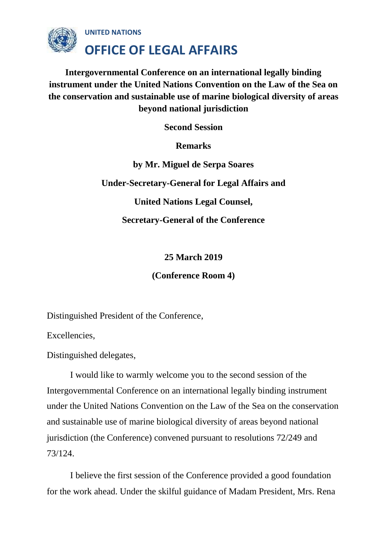

# **Intergovernmental Conference on an international legally binding instrument under the United Nations Convention on the Law of the Sea on the conservation and sustainable use of marine biological diversity of areas beyond national jurisdiction**

**Second Session**

### **Remarks**

**by Mr. Miguel de Serpa Soares Under-Secretary-General for Legal Affairs and United Nations Legal Counsel, Secretary-General of the Conference**

## **25 March 2019**

### **(Conference Room 4)**

Distinguished President of the Conference,

Excellencies,

Distinguished delegates,

I would like to warmly welcome you to the second session of the Intergovernmental Conference on an international legally binding instrument under the United Nations Convention on the Law of the Sea on the conservation and sustainable use of marine biological diversity of areas beyond national jurisdiction (the Conference) convened pursuant to resolutions 72/249 and 73/124.

I believe the first session of the Conference provided a good foundation for the work ahead. Under the skilful guidance of Madam President, Mrs. Rena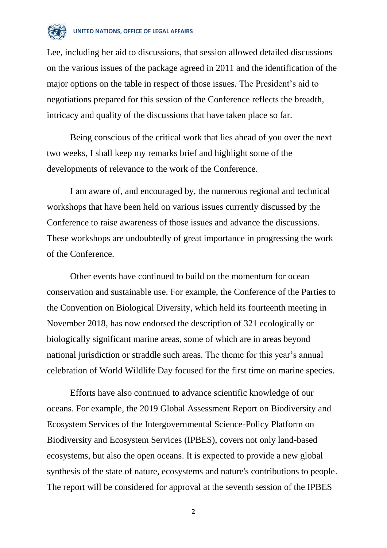

#### **UNITED NATIONS, OFFICE OF LEGAL AFFAIRS**

Lee, including her aid to discussions, that session allowed detailed discussions on the various issues of the package agreed in 2011 and the identification of the major options on the table in respect of those issues. The President's aid to negotiations prepared for this session of the Conference reflects the breadth, intricacy and quality of the discussions that have taken place so far.

Being conscious of the critical work that lies ahead of you over the next two weeks, I shall keep my remarks brief and highlight some of the developments of relevance to the work of the Conference.

I am aware of, and encouraged by, the numerous regional and technical workshops that have been held on various issues currently discussed by the Conference to raise awareness of those issues and advance the discussions. These workshops are undoubtedly of great importance in progressing the work of the Conference.

Other events have continued to build on the momentum for ocean conservation and sustainable use. For example, the Conference of the Parties to the Convention on Biological Diversity, which held its fourteenth meeting in November 2018, has now endorsed the description of 321 ecologically or biologically significant marine areas, some of which are in areas beyond national jurisdiction or straddle such areas. The theme for this year's annual celebration of World Wildlife Day focused for the first time on marine species.

Efforts have also continued to advance scientific knowledge of our oceans. For example, the 2019 Global Assessment Report on Biodiversity and Ecosystem Services of the Intergovernmental Science-Policy Platform on Biodiversity and Ecosystem Services (IPBES), covers not only land-based ecosystems, but also the open oceans. It is expected to provide a new global synthesis of the state of nature, ecosystems and nature's contributions to people. The report will be considered for approval at the seventh session of the IPBES

2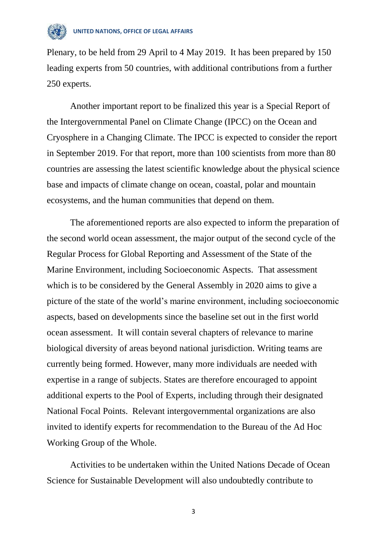

Plenary, to be held from 29 April to 4 May 2019. It has been prepared by 150 leading experts from 50 countries, with additional contributions from a further 250 experts.

Another important report to be finalized this year is a Special Report of the Intergovernmental Panel on Climate Change (IPCC) on the Ocean and Cryosphere in a Changing Climate. The IPCC is expected to consider the report in September 2019. For that report, more than 100 scientists from more than 80 countries are assessing the latest scientific knowledge about the physical science base and impacts of climate change on ocean, coastal, polar and mountain ecosystems, and the human communities that depend on them.

The aforementioned reports are also expected to inform the preparation of the second world ocean assessment, the major output of the second cycle of the Regular Process for Global Reporting and Assessment of the State of the Marine Environment, including Socioeconomic Aspects. That assessment which is to be considered by the General Assembly in 2020 aims to give a picture of the state of the world's marine environment, including socioeconomic aspects, based on developments since the baseline set out in the first world ocean assessment. It will contain several chapters of relevance to marine biological diversity of areas beyond national jurisdiction. Writing teams are currently being formed. However, many more individuals are needed with expertise in a range of subjects. States are therefore encouraged to appoint additional experts to the Pool of Experts, including through their designated National Focal Points. Relevant intergovernmental organizations are also invited to identify experts for recommendation to the Bureau of the Ad Hoc Working Group of the Whole.

Activities to be undertaken within the United Nations Decade of Ocean Science for Sustainable Development will also undoubtedly contribute to

3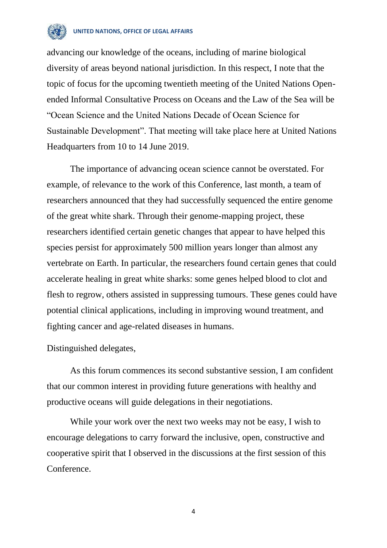

#### **UNITED NATIONS, OFFICE OF LEGAL AFFAIRS**

advancing our knowledge of the oceans, including of marine biological diversity of areas beyond national jurisdiction. In this respect, I note that the topic of focus for the upcoming twentieth meeting of the United Nations Openended Informal Consultative Process on Oceans and the Law of the Sea will be "Ocean Science and the United Nations Decade of Ocean Science for Sustainable Development". That meeting will take place here at United Nations Headquarters from 10 to 14 June 2019.

The importance of advancing ocean science cannot be overstated. For example, of relevance to the work of this Conference, last month, a team of researchers announced that they had successfully sequenced the entire genome of the great white shark. Through their genome-mapping project, these researchers identified certain genetic changes that appear to have helped this species persist for approximately 500 million years longer than almost any vertebrate on Earth. In particular, the researchers found certain genes that could accelerate healing in great white sharks: some genes helped blood to clot and flesh to regrow, others assisted in suppressing tumours. These genes could have potential clinical applications, including in improving wound treatment, and fighting cancer and age-related diseases in humans.

#### Distinguished delegates,

As this forum commences its second substantive session, I am confident that our common interest in providing future generations with healthy and productive oceans will guide delegations in their negotiations.

While your work over the next two weeks may not be easy, I wish to encourage delegations to carry forward the inclusive, open, constructive and cooperative spirit that I observed in the discussions at the first session of this Conference.

4